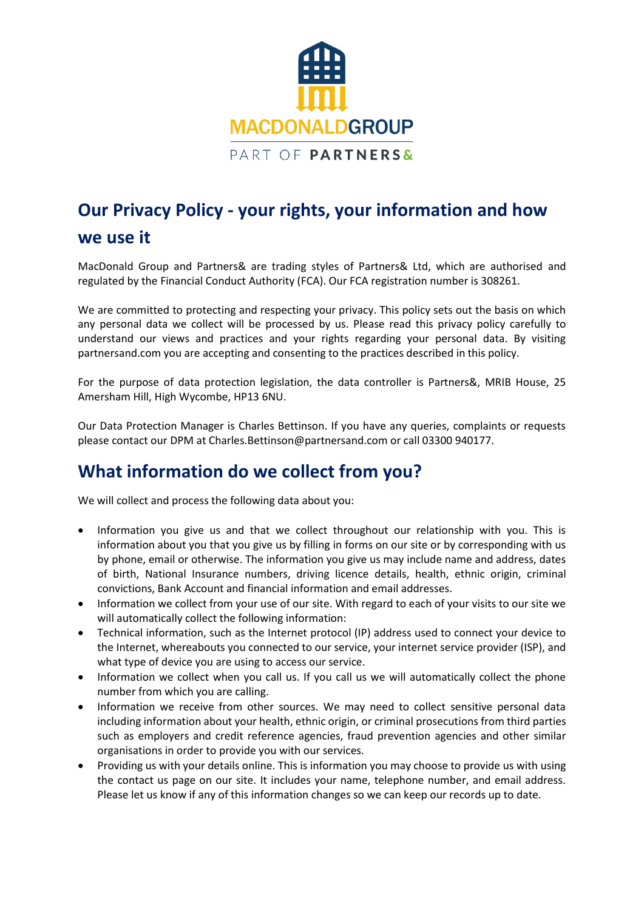

# **Our Privacy Policy - your rights, your information and how we use it**

MacDonald Group and Partners& are trading styles of Partners& Ltd, which are authorised and regulated by the Financial Conduct Authority (FCA). Our FCA registration number is 308261.

We are committed to protecting and respecting your privacy. This policy sets out the basis on which any personal data we collect will be processed by us. Please read this privacy policy carefully to understand our views and practices and your rights regarding your personal data. By visiting partnersand.com you are accepting and consenting to the practices described in this policy.

For the purpose of data protection legislation, the data controller is Partners&, MRIB House, 25 Amersham Hill, High Wycombe, HP13 6NU.

Our Data Protection Manager is Charles Bettinson. If you have any queries, complaints or requests please contact our DPM at Charles.Bettinson@partnersand.com or call 03300 940177.

### **What information do we collect from you?**

We will collect and process the following data about you:

- Information you give us and that we collect throughout our relationship with you. This is information about you that you give us by filling in forms on our site or by corresponding with us by phone, email or otherwise. The information you give us may include name and address, dates of birth, National Insurance numbers, driving licence details, health, ethnic origin, criminal convictions, Bank Account and financial information and email addresses.
- Information we collect from your use of our site. With regard to each of your visits to our site we will automatically collect the following information:
- Technical information, such as the Internet protocol (IP) address used to connect your device to the Internet, whereabouts you connected to our service, your internet service provider (ISP), and what type of device you are using to access our service.
- Information we collect when you call us. If you call us we will automatically collect the phone number from which you are calling.
- Information we receive from other sources. We may need to collect sensitive personal data including information about your health, ethnic origin, or criminal prosecutions from third parties such as employers and credit reference agencies, fraud prevention agencies and other similar organisations in order to provide you with our services.
- Providing us with your details online. This is information you may choose to provide us with using the contact us page on our site. It includes your name, telephone number, and email address. Please let us know if any of this information changes so we can keep our records up to date.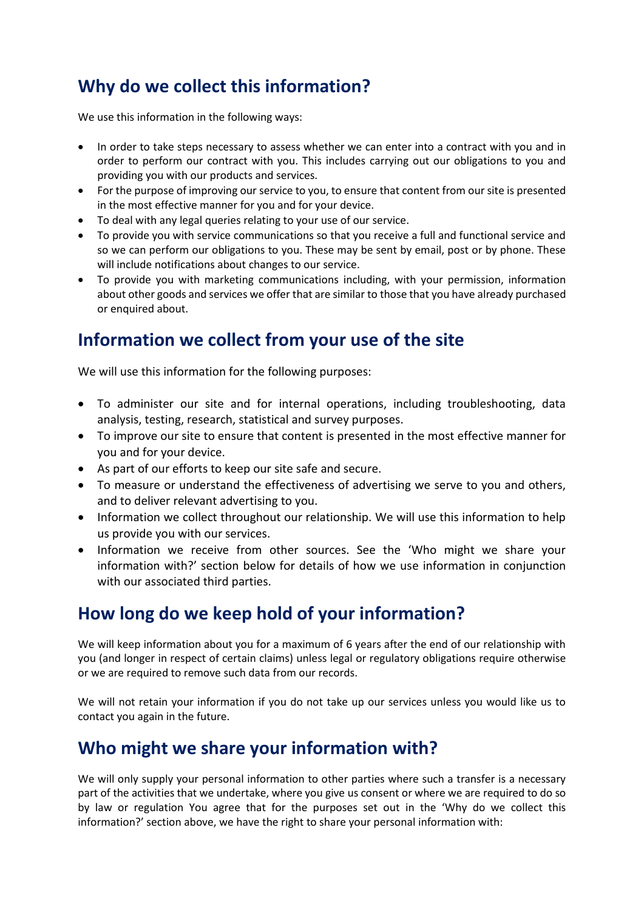# **Why do we collect this information?**

We use this information in the following ways:

- In order to take steps necessary to assess whether we can enter into a contract with you and in order to perform our contract with you. This includes carrying out our obligations to you and providing you with our products and services.
- For the purpose of improving our service to you, to ensure that content from our site is presented in the most effective manner for you and for your device.
- To deal with any legal queries relating to your use of our service.
- To provide you with service communications so that you receive a full and functional service and so we can perform our obligations to you. These may be sent by email, post or by phone. These will include notifications about changes to our service.
- To provide you with marketing communications including, with your permission, information about other goods and services we offer that are similar to those that you have already purchased or enquired about.

## **Information we collect from your use of the site**

We will use this information for the following purposes:

- To administer our site and for internal operations, including troubleshooting, data analysis, testing, research, statistical and survey purposes.
- To improve our site to ensure that content is presented in the most effective manner for you and for your device.
- As part of our efforts to keep our site safe and secure.
- To measure or understand the effectiveness of advertising we serve to you and others, and to deliver relevant advertising to you.
- Information we collect throughout our relationship. We will use this information to help us provide you with our services.
- Information we receive from other sources. See the 'Who might we share your information with?' section below for details of how we use information in conjunction with our associated third parties.

## **How long do we keep hold of your information?**

We will keep information about you for a maximum of 6 years after the end of our relationship with you (and longer in respect of certain claims) unless legal or regulatory obligations require otherwise or we are required to remove such data from our records.

We will not retain your information if you do not take up our services unless you would like us to contact you again in the future.

### **Who might we share your information with?**

We will only supply your personal information to other parties where such a transfer is a necessary part of the activities that we undertake, where you give us consent or where we are required to do so by law or regulation You agree that for the purposes set out in the 'Why do we collect this information?' section above, we have the right to share your personal information with: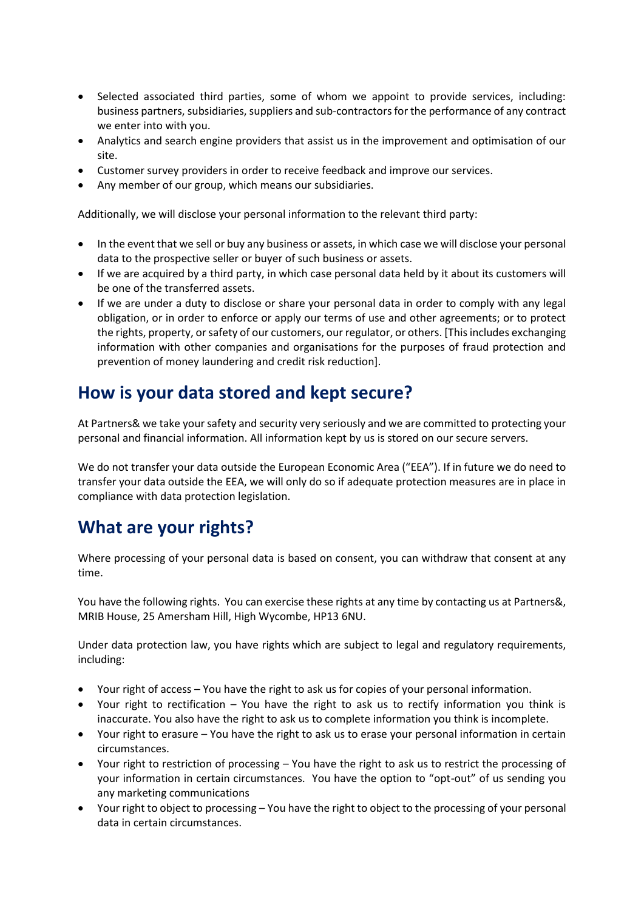- Selected associated third parties, some of whom we appoint to provide services, including: business partners, subsidiaries, suppliers and sub-contractors for the performance of any contract we enter into with you.
- Analytics and search engine providers that assist us in the improvement and optimisation of our site.
- Customer survey providers in order to receive feedback and improve our services.
- Any member of our group, which means our subsidiaries.

Additionally, we will disclose your personal information to the relevant third party:

- In the event that we sell or buy any business or assets, in which case we will disclose your personal data to the prospective seller or buyer of such business or assets.
- If we are acquired by a third party, in which case personal data held by it about its customers will be one of the transferred assets.
- If we are under a duty to disclose or share your personal data in order to comply with any legal obligation, or in order to enforce or apply our terms of use and other agreements; or to protect the rights, property, or safety of our customers, our regulator, or others. [This includes exchanging information with other companies and organisations for the purposes of fraud protection and prevention of money laundering and credit risk reduction].

### **How is your data stored and kept secure?**

At Partners& we take your safety and security very seriously and we are committed to protecting your personal and financial information. All information kept by us is stored on our secure servers.

We do not transfer your data outside the European Economic Area ("EEA"). If in future we do need to transfer your data outside the EEA, we will only do so if adequate protection measures are in place in compliance with data protection legislation.

## **What are your rights?**

Where processing of your personal data is based on consent, you can withdraw that consent at any time.

You have the following rights. You can exercise these rights at any time by contacting us at Partners&, MRIB House, 25 Amersham Hill, High Wycombe, HP13 6NU.

Under data protection law, you have rights which are subject to legal and regulatory requirements, including:

- Your right of access You have the right to ask us for copies of your personal information.
- Your right to rectification You have the right to ask us to rectify information you think is inaccurate. You also have the right to ask us to complete information you think is incomplete.
- Your right to erasure You have the right to ask us to erase your personal information in certain circumstances.
- Your right to restriction of processing You have the right to ask us to restrict the processing of your information in certain circumstances. You have the option to "opt-out" of us sending you any marketing communications
- Your right to object to processing You have the right to object to the processing of your personal data in certain circumstances.